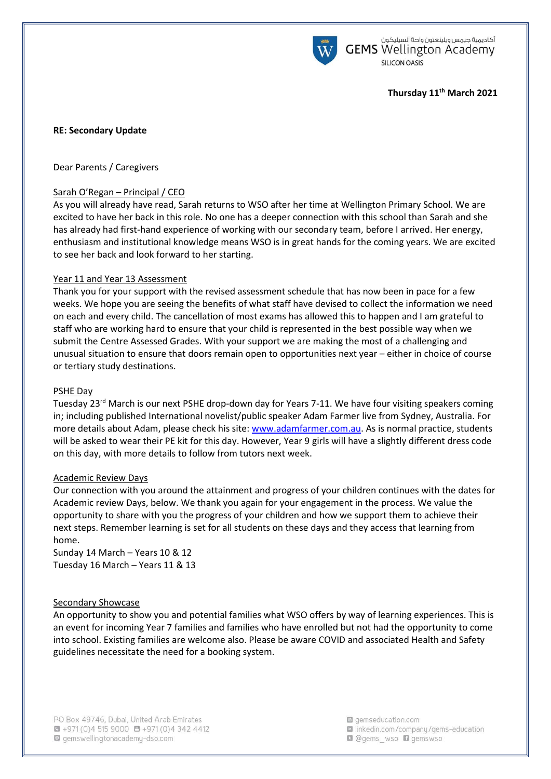

أكاديمية جيمس ويلينغتون واحة السيليكون **GEMS** Wellington Academy **SILICON OASIS** 

# **Thursday 11th March 2021**

# **RE: Secondary Update**

Dear Parents / Caregivers

# Sarah O'Regan – Principal / CEO

As you will already have read, Sarah returns to WSO after her time at Wellington Primary School. We are excited to have her back in this role. No one has a deeper connection with this school than Sarah and she has already had first-hand experience of working with our secondary team, before I arrived. Her energy, enthusiasm and institutional knowledge means WSO is in great hands for the coming years. We are excited to see her back and look forward to her starting.

## Year 11 and Year 13 Assessment

Thank you for your support with the revised assessment schedule that has now been in pace for a few weeks. We hope you are seeing the benefits of what staff have devised to collect the information we need on each and every child. The cancellation of most exams has allowed this to happen and I am grateful to staff who are working hard to ensure that your child is represented in the best possible way when we submit the Centre Assessed Grades. With your support we are making the most of a challenging and unusual situation to ensure that doors remain open to opportunities next year – either in choice of course or tertiary study destinations.

### PSHE Day

Tuesday 23<sup>rd</sup> March is our next PSHE drop-down day for Years 7-11. We have four visiting speakers coming in; including published International novelist/public speaker Adam Farmer live from Sydney, Australia. For more details about Adam, please check his site: [www.adamfarmer.com.au.](http://www.adamfarmer.com.au/) As is normal practice, students will be asked to wear their PE kit for this day. However, Year 9 girls will have a slightly different dress code on this day, with more details to follow from tutors next week.

#### Academic Review Days

Our connection with you around the attainment and progress of your children continues with the dates for Academic review Days, below. We thank you again for your engagement in the process. We value the opportunity to share with you the progress of your children and how we support them to achieve their next steps. Remember learning is set for all students on these days and they access that learning from home.

Sunday 14 March – Years 10 & 12 Tuesday 16 March – Years 11 & 13

## Secondary Showcase

An opportunity to show you and potential families what WSO offers by way of learning experiences. This is an event for incoming Year 7 families and families who have enrolled but not had the opportunity to come into school. Existing families are welcome also. Please be aware COVID and associated Health and Safety guidelines necessitate the need for a booking system.